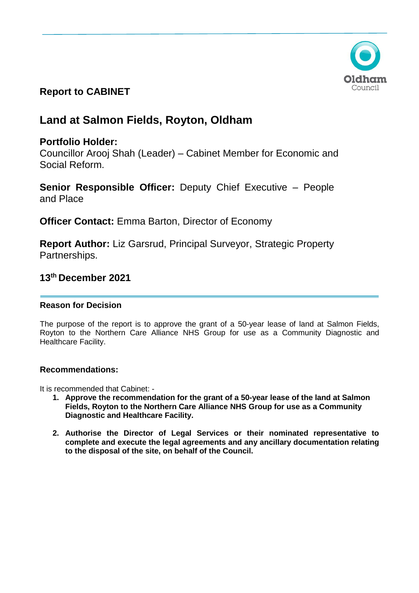

# **Report to CABINET**

# **Land at Salmon Fields, Royton, Oldham**

# **Portfolio Holder:**

Councillor Arooj Shah (Leader) – Cabinet Member for Economic and Social Reform.

**Senior Responsible Officer:** Deputy Chief Executive – People and Place

**Officer Contact:** Emma Barton, Director of Economy

**Report Author:** Liz Garsrud, Principal Surveyor, Strategic Property Partnerships.

# **13th December 2021**

# **Reason for Decision**

The purpose of the report is to approve the grant of a 50-year lease of land at Salmon Fields, Royton to the Northern Care Alliance NHS Group for use as a Community Diagnostic and Healthcare Facility.

### **Recommendations:**

It is recommended that Cabinet: -

- **1. Approve the recommendation for the grant of a 50-year lease of the land at Salmon Fields, Royton to the Northern Care Alliance NHS Group for use as a Community Diagnostic and Healthcare Facility.**
- **2. Authorise the Director of Legal Services or their nominated representative to complete and execute the legal agreements and any ancillary documentation relating to the disposal of the site, on behalf of the Council.**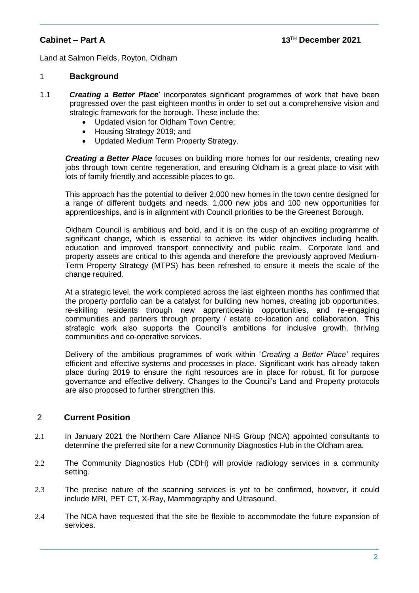Land at Salmon Fields, Royton, Oldham

#### 1 **Background**

- 1.1 *Creating a Better Place*' incorporates significant programmes of work that have been progressed over the past eighteen months in order to set out a comprehensive vision and strategic framework for the borough. These include the:
	- Updated vision for Oldham Town Centre;
	- Housing Strategy 2019; and
	- Updated Medium Term Property Strategy.

*Creating a Better Place* focuses on building more homes for our residents, creating new jobs through town centre regeneration, and ensuring Oldham is a great place to visit with lots of family friendly and accessible places to go.

This approach has the potential to deliver 2,000 new homes in the town centre designed for a range of different budgets and needs, 1,000 new jobs and 100 new opportunities for apprenticeships, and is in alignment with Council priorities to be the Greenest Borough.

Oldham Council is ambitious and bold, and it is on the cusp of an exciting programme of significant change, which is essential to achieve its wider objectives including health, education and improved transport connectivity and public realm. Corporate land and property assets are critical to this agenda and therefore the previously approved Medium-Term Property Strategy (MTPS) has been refreshed to ensure it meets the scale of the change required.

At a strategic level, the work completed across the last eighteen months has confirmed that the property portfolio can be a catalyst for building new homes, creating job opportunities, re-skilling residents through new apprenticeship opportunities, and re-engaging communities and partners through property / estate co-location and collaboration. This strategic work also supports the Council's ambitions for inclusive growth, thriving communities and co-operative services.

Delivery of the ambitious programmes of work within '*Creating a Better Place'* requires efficient and effective systems and processes in place. Significant work has already taken place during 2019 to ensure the right resources are in place for robust, fit for purpose governance and effective delivery. Changes to the Council's Land and Property protocols are also proposed to further strengthen this.

### 2 **Current Position**

- 2.1 In January 2021 the Northern Care Alliance NHS Group (NCA) appointed consultants to determine the preferred site for a new Community Diagnostics Hub in the Oldham area.
- 2.2 The Community Diagnostics Hub (CDH) will provide radiology services in a community setting.
- 2.3 The precise nature of the scanning services is yet to be confirmed, however, it could include MRI, PET CT, X-Ray, Mammography and Ultrasound.
- 2.4 The NCA have requested that the site be flexible to accommodate the future expansion of services.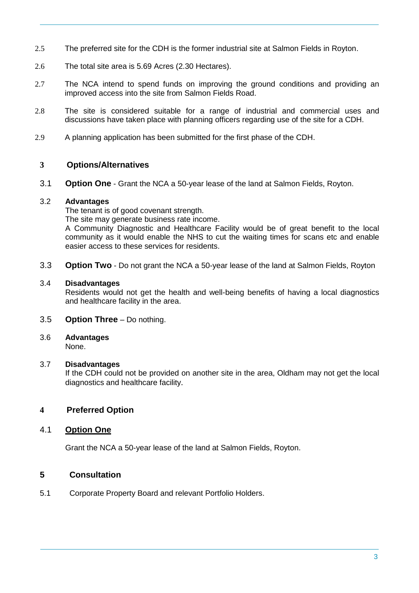- 2.5 The preferred site for the CDH is the former industrial site at Salmon Fields in Royton.
- 2.6 The total site area is 5.69 Acres (2.30 Hectares).
- 2.7 The NCA intend to spend funds on improving the ground conditions and providing an improved access into the site from Salmon Fields Road.
- 2.8 The site is considered suitable for a range of industrial and commercial uses and discussions have taken place with planning officers regarding use of the site for a CDH.
- 2.9 A planning application has been submitted for the first phase of the CDH.

### **3 Options/Alternatives**

3.1 **Option One** - Grant the NCA a 50-year lease of the land at Salmon Fields, Royton.

#### 3.2 **Advantages**

The tenant is of good covenant strength.

The site may generate business rate income.

A Community Diagnostic and Healthcare Facility would be of great benefit to the local community as it would enable the NHS to cut the waiting times for scans etc and enable easier access to these services for residents.

3.3 **Option Two** - Do not grant the NCA a 50-year lease of the land at Salmon Fields, Royton

#### 3.4 **Disadvantages**

Residents would not get the health and well-being benefits of having a local diagnostics and healthcare facility in the area.

#### 3.5 **Option Three** – Do nothing.

# 3.6 **Advantages**

None.

#### 3.7 **Disadvantages**

If the CDH could not be provided on another site in the area, Oldham may not get the local diagnostics and healthcare facility.

# **4 Preferred Option**

### 4.1 **Option One**

Grant the NCA a 50-year lease of the land at Salmon Fields, Royton.

# **5 Consultation**

5.1 Corporate Property Board and relevant Portfolio Holders.